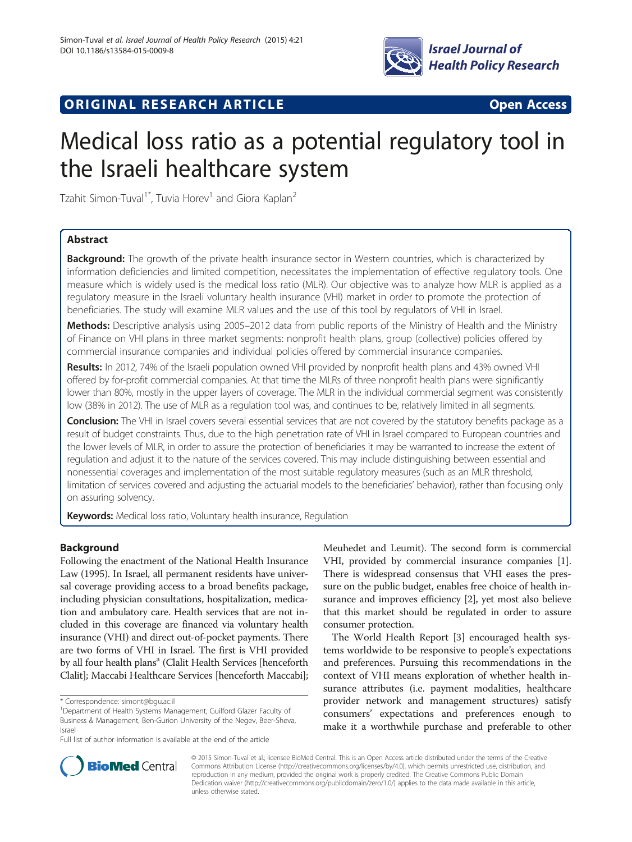

# **ORIGINAL RESEARCH ARTICLE CONSUMING ACCESS**

# Medical loss ratio as a potential regulatory tool in the Israeli healthcare system

Tzahit Simon-Tuval<sup>1\*</sup>, Tuvia Horev<sup>1</sup> and Giora Kaplan<sup>2</sup>

# Abstract

Background: The growth of the private health insurance sector in Western countries, which is characterized by information deficiencies and limited competition, necessitates the implementation of effective regulatory tools. One measure which is widely used is the medical loss ratio (MLR). Our objective was to analyze how MLR is applied as a regulatory measure in the Israeli voluntary health insurance (VHI) market in order to promote the protection of beneficiaries. The study will examine MLR values and the use of this tool by regulators of VHI in Israel.

Methods: Descriptive analysis using 2005-2012 data from public reports of the Ministry of Health and the Ministry of Finance on VHI plans in three market segments: nonprofit health plans, group (collective) policies offered by commercial insurance companies and individual policies offered by commercial insurance companies.

Results: In 2012, 74% of the Israeli population owned VHI provided by nonprofit health plans and 43% owned VHI offered by for-profit commercial companies. At that time the MLRs of three nonprofit health plans were significantly lower than 80%, mostly in the upper layers of coverage. The MLR in the individual commercial segment was consistently low (38% in 2012). The use of MLR as a regulation tool was, and continues to be, relatively limited in all segments.

Conclusion: The VHI in Israel covers several essential services that are not covered by the statutory benefits package as a result of budget constraints. Thus, due to the high penetration rate of VHI in Israel compared to European countries and the lower levels of MLR, in order to assure the protection of beneficiaries it may be warranted to increase the extent of regulation and adjust it to the nature of the services covered. This may include distinguishing between essential and nonessential coverages and implementation of the most suitable regulatory measures (such as an MLR threshold, limitation of services covered and adjusting the actuarial models to the beneficiaries' behavior), rather than focusing only on assuring solvency.

**Keywords:** Medical loss ratio, Voluntary health insurance, Regulation

# Background

Following the enactment of the National Health Insurance Law (1995). In Israel, all permanent residents have universal coverage providing access to a broad benefits package, including physician consultations, hospitalization, medication and ambulatory care. Health services that are not included in this coverage are financed via voluntary health insurance (VHI) and direct out-of-pocket payments. There are two forms of VHI in Israel. The first is VHI provided by all four health plans<sup>a</sup> (Clalit Health Services [henceforth Clalit]; Maccabi Healthcare Services [henceforth Maccabi];

Meuhedet and Leumit). The second form is commercial VHI, provided by commercial insurance companies [[1](#page-7-0)]. There is widespread consensus that VHI eases the pressure on the public budget, enables free choice of health insurance and improves efficiency [[2](#page-7-0)], yet most also believe that this market should be regulated in order to assure consumer protection.

The World Health Report [\[3](#page-7-0)] encouraged health systems worldwide to be responsive to people's expectations and preferences. Pursuing this recommendations in the context of VHI means exploration of whether health insurance attributes (i.e. payment modalities, healthcare provider network and management structures) satisfy consumers' expectations and preferences enough to make it a worthwhile purchase and preferable to other



© 2015 Simon-Tuval et al.; licensee BioMed Central. This is an Open Access article distributed under the terms of the Creative Commons Attribution License [\(http://creativecommons.org/licenses/by/4.0\)](http://creativecommons.org/licenses/by/4.0), which permits unrestricted use, distribution, and reproduction in any medium, provided the original work is properly credited. The Creative Commons Public Domain Dedication waiver [\(http://creativecommons.org/publicdomain/zero/1.0/](http://creativecommons.org/publicdomain/zero/1.0/)) applies to the data made available in this article, unless otherwise stated.

<sup>\*</sup> Correspondence: [simont@bgu.ac.il](mailto:simont@bgu.ac.il) <sup>1</sup>

Department of Health Systems Management, Guilford Glazer Faculty of Business & Management, Ben-Gurion University of the Negev, Beer-Sheva, Israel

Full list of author information is available at the end of the article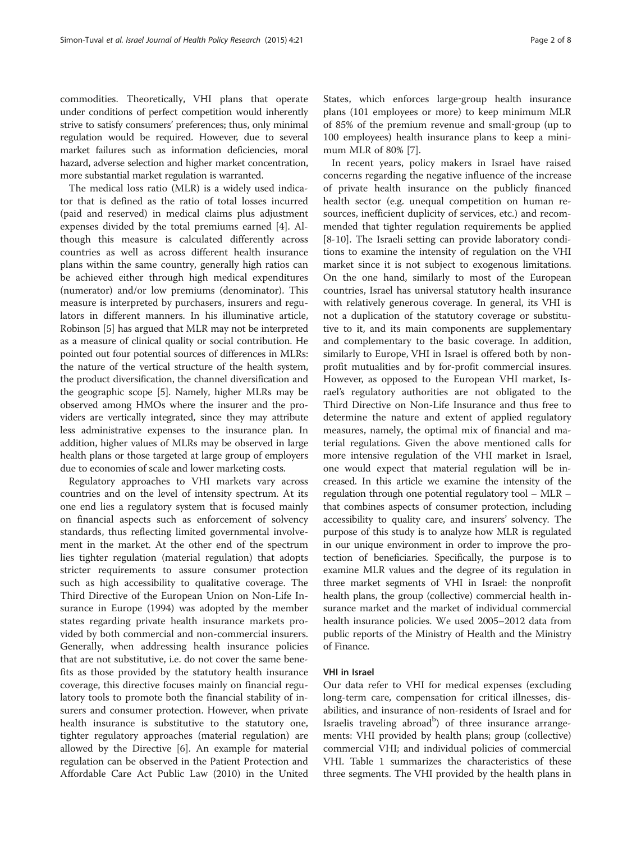commodities. Theoretically, VHI plans that operate under conditions of perfect competition would inherently strive to satisfy consumers' preferences; thus, only minimal regulation would be required. However, due to several market failures such as information deficiencies, moral hazard, adverse selection and higher market concentration, more substantial market regulation is warranted.

The medical loss ratio (MLR) is a widely used indicator that is defined as the ratio of total losses incurred (paid and reserved) in medical claims plus adjustment expenses divided by the total premiums earned [\[4](#page-7-0)]. Although this measure is calculated differently across countries as well as across different health insurance plans within the same country, generally high ratios can be achieved either through high medical expenditures (numerator) and/or low premiums (denominator). This measure is interpreted by purchasers, insurers and regulators in different manners. In his illuminative article, Robinson [\[5](#page-7-0)] has argued that MLR may not be interpreted as a measure of clinical quality or social contribution. He pointed out four potential sources of differences in MLRs: the nature of the vertical structure of the health system, the product diversification, the channel diversification and the geographic scope [\[5\]](#page-7-0). Namely, higher MLRs may be observed among HMOs where the insurer and the providers are vertically integrated, since they may attribute less administrative expenses to the insurance plan. In addition, higher values of MLRs may be observed in large health plans or those targeted at large group of employers due to economies of scale and lower marketing costs.

Regulatory approaches to VHI markets vary across countries and on the level of intensity spectrum. At its one end lies a regulatory system that is focused mainly on financial aspects such as enforcement of solvency standards, thus reflecting limited governmental involvement in the market. At the other end of the spectrum lies tighter regulation (material regulation) that adopts stricter requirements to assure consumer protection such as high accessibility to qualitative coverage. The Third Directive of the European Union on Non-Life Insurance in Europe (1994) was adopted by the member states regarding private health insurance markets provided by both commercial and non-commercial insurers. Generally, when addressing health insurance policies that are not substitutive, i.e. do not cover the same benefits as those provided by the statutory health insurance coverage, this directive focuses mainly on financial regulatory tools to promote both the financial stability of insurers and consumer protection. However, when private health insurance is substitutive to the statutory one, tighter regulatory approaches (material regulation) are allowed by the Directive [[6\]](#page-7-0). An example for material regulation can be observed in the Patient Protection and Affordable Care Act Public Law (2010) in the United States, which enforces large‐group health insurance plans (101 employees or more) to keep minimum MLR of 85% of the premium revenue and small‐group (up to 100 employees) health insurance plans to keep a minimum MLR of 80% [[7\]](#page-7-0).

In recent years, policy makers in Israel have raised concerns regarding the negative influence of the increase of private health insurance on the publicly financed health sector (e.g. unequal competition on human resources, inefficient duplicity of services, etc.) and recommended that tighter regulation requirements be applied [[8-10](#page-7-0)]. The Israeli setting can provide laboratory conditions to examine the intensity of regulation on the VHI market since it is not subject to exogenous limitations. On the one hand, similarly to most of the European countries, Israel has universal statutory health insurance with relatively generous coverage. In general, its VHI is not a duplication of the statutory coverage or substitutive to it, and its main components are supplementary and complementary to the basic coverage. In addition, similarly to Europe, VHI in Israel is offered both by nonprofit mutualities and by for-profit commercial insures. However, as opposed to the European VHI market, Israel's regulatory authorities are not obligated to the Third Directive on Non-Life Insurance and thus free to determine the nature and extent of applied regulatory measures, namely, the optimal mix of financial and material regulations. Given the above mentioned calls for more intensive regulation of the VHI market in Israel, one would expect that material regulation will be increased. In this article we examine the intensity of the regulation through one potential regulatory tool – MLR – that combines aspects of consumer protection, including accessibility to quality care, and insurers' solvency. The purpose of this study is to analyze how MLR is regulated in our unique environment in order to improve the protection of beneficiaries. Specifically, the purpose is to examine MLR values and the degree of its regulation in three market segments of VHI in Israel: the nonprofit health plans, the group (collective) commercial health insurance market and the market of individual commercial health insurance policies. We used 2005–2012 data from public reports of the Ministry of Health and the Ministry of Finance.

## VHI in Israel

Our data refer to VHI for medical expenses (excluding long-term care, compensation for critical illnesses, disabilities, and insurance of non-residents of Israel and for Israelis traveling abroad<sup>b</sup>) of three insurance arrangements: VHI provided by health plans; group (collective) commercial VHI; and individual policies of commercial VHI. Table [1](#page-2-0) summarizes the characteristics of these three segments. The VHI provided by the health plans in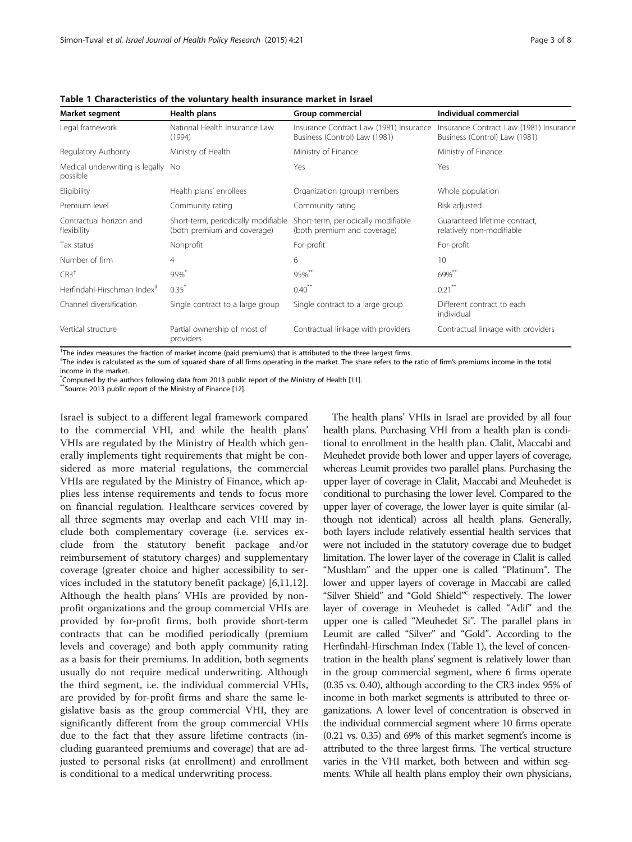| Market segment                                 | Health plans                                                       | Group commercial                                                         | Individual commercial                                                    |
|------------------------------------------------|--------------------------------------------------------------------|--------------------------------------------------------------------------|--------------------------------------------------------------------------|
| Legal framework                                | National Health Insurance Law<br>(1994)                            | Insurance Contract Law (1981) Insurance<br>Business (Control) Law (1981) | Insurance Contract Law (1981) Insurance<br>Business (Control) Law (1981) |
| Regulatory Authority                           | Ministry of Health                                                 | Ministry of Finance                                                      | Ministry of Finance                                                      |
| Medical underwriting is legally No<br>possible |                                                                    | Yes                                                                      | Yes                                                                      |
| Eligibility                                    | Health plans' enrollees                                            | Organization (group) members                                             | Whole population                                                         |
| Premium level                                  | Community rating                                                   | Community rating                                                         | Risk adjusted                                                            |
| Contractual horizon and<br>flexibility         | Short-term, periodically modifiable<br>(both premium and coverage) | Short-term, periodically modifiable<br>(both premium and coverage)       | Guaranteed lifetime contract,<br>relatively non-modifiable               |
| Tax status                                     | Nonprofit                                                          | For-profit                                                               | For-profit                                                               |
| Number of firm                                 | $\overline{4}$                                                     | 6                                                                        | 10                                                                       |
| $CR3+$                                         | 95%*                                                               | 95%**                                                                    | 69%**                                                                    |
| Herfindahl-Hirschman Index <sup>#</sup>        | 0.35                                                               | $0.40$ <sup>**</sup>                                                     | $0.21$ <sup>**</sup>                                                     |
| Channel diversification                        | Single contract to a large group                                   | Single contract to a large group                                         | Different contract to each<br>individual                                 |
| Vertical structure                             | Partial ownership of most of<br>providers                          | Contractual linkage with providers                                       | Contractual linkage with providers                                       |

<span id="page-2-0"></span>Table 1 Characteristics of the voluntary health insurance market in Israel

† The index measures the fraction of market income (paid premiums) that is attributed to the three largest firms.

# The index is calculated as the sum of squared share of all firms operating in the market. The share refers to the ratio of firm's premiums income in the total income in the market.

\* Computed by the authors following data from 2013 public report of the Ministry of Health [[11\]](#page-7-0). \*\*Source: 2013 public report of the Ministry of Finance [[12](#page-7-0)].

Israel is subject to a different legal framework compared to the commercial VHI, and while the health plans' VHIs are regulated by the Ministry of Health which generally implements tight requirements that might be considered as more material regulations, the commercial VHIs are regulated by the Ministry of Finance, which applies less intense requirements and tends to focus more on financial regulation. Healthcare services covered by all three segments may overlap and each VHI may include both complementary coverage (i.e. services exclude from the statutory benefit package and/or reimbursement of statutory charges) and supplementary coverage (greater choice and higher accessibility to services included in the statutory benefit package) [\[6,11,12](#page-7-0)]. Although the health plans' VHIs are provided by nonprofit organizations and the group commercial VHIs are provided by for-profit firms, both provide short-term contracts that can be modified periodically (premium levels and coverage) and both apply community rating as a basis for their premiums. In addition, both segments usually do not require medical underwriting. Although the third segment, i.e. the individual commercial VHIs, are provided by for-profit firms and share the same legislative basis as the group commercial VHI, they are significantly different from the group commercial VHIs due to the fact that they assure lifetime contracts (including guaranteed premiums and coverage) that are adjusted to personal risks (at enrollment) and enrollment is conditional to a medical underwriting process.

The health plans' VHIs in Israel are provided by all four health plans. Purchasing VHI from a health plan is conditional to enrollment in the health plan. Clalit, Maccabi and Meuhedet provide both lower and upper layers of coverage, whereas Leumit provides two parallel plans. Purchasing the upper layer of coverage in Clalit, Maccabi and Meuhedet is conditional to purchasing the lower level. Compared to the upper layer of coverage, the lower layer is quite similar (although not identical) across all health plans. Generally, both layers include relatively essential health services that were not included in the statutory coverage due to budget limitation. The lower layer of the coverage in Clalit is called "Mushlam" and the upper one is called "Platinum". The lower and upper layers of coverage in Maccabi are called "Silver Shield" and "Gold Shield"<sup>c</sup> respectively. The lower layer of coverage in Meuhedet is called "Adif" and the upper one is called "Meuhedet Si". The parallel plans in Leumit are called "Silver" and "Gold". According to the Herfindahl-Hirschman Index (Table 1), the level of concentration in the health plans' segment is relatively lower than in the group commercial segment, where 6 firms operate (0.35 vs. 0.40), although according to the CR3 index 95% of income in both market segments is attributed to three organizations. A lower level of concentration is observed in the individual commercial segment where 10 firms operate (0.21 vs. 0.35) and 69% of this market segment's income is attributed to the three largest firms. The vertical structure varies in the VHI market, both between and within segments. While all health plans employ their own physicians,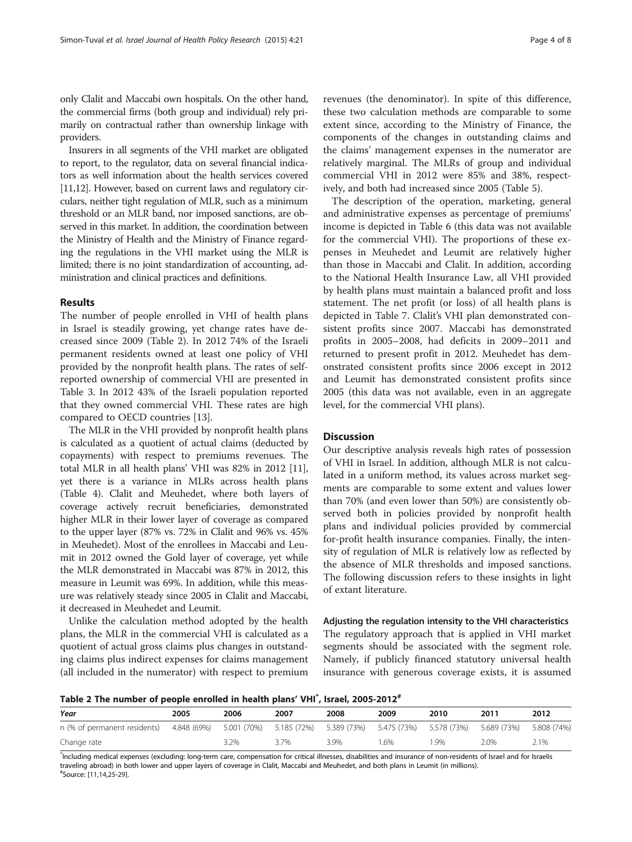only Clalit and Maccabi own hospitals. On the other hand, the commercial firms (both group and individual) rely primarily on contractual rather than ownership linkage with providers.

Insurers in all segments of the VHI market are obligated to report, to the regulator, data on several financial indicators as well information about the health services covered [[11,12\]](#page-7-0). However, based on current laws and regulatory circulars, neither tight regulation of MLR, such as a minimum threshold or an MLR band, nor imposed sanctions, are observed in this market. In addition, the coordination between the Ministry of Health and the Ministry of Finance regarding the regulations in the VHI market using the MLR is limited; there is no joint standardization of accounting, administration and clinical practices and definitions.

## Results

The number of people enrolled in VHI of health plans in Israel is steadily growing, yet change rates have decreased since 2009 (Table 2). In 2012 74% of the Israeli permanent residents owned at least one policy of VHI provided by the nonprofit health plans. The rates of selfreported ownership of commercial VHI are presented in Table [3.](#page-4-0) In 2012 43% of the Israeli population reported that they owned commercial VHI. These rates are high compared to OECD countries [\[13](#page-7-0)].

The MLR in the VHI provided by nonprofit health plans is calculated as a quotient of actual claims (deducted by copayments) with respect to premiums revenues. The total MLR in all health plans' VHI was 82% in 2012 [[11](#page-7-0)], yet there is a variance in MLRs across health plans (Table [4](#page-4-0)). Clalit and Meuhedet, where both layers of coverage actively recruit beneficiaries, demonstrated higher MLR in their lower layer of coverage as compared to the upper layer (87% vs. 72% in Clalit and 96% vs. 45% in Meuhedet). Most of the enrollees in Maccabi and Leumit in 2012 owned the Gold layer of coverage, yet while the MLR demonstrated in Maccabi was 87% in 2012, this measure in Leumit was 69%. In addition, while this measure was relatively steady since 2005 in Clalit and Maccabi, it decreased in Meuhedet and Leumit.

Unlike the calculation method adopted by the health plans, the MLR in the commercial VHI is calculated as a quotient of actual gross claims plus changes in outstanding claims plus indirect expenses for claims management (all included in the numerator) with respect to premium revenues (the denominator). In spite of this difference, these two calculation methods are comparable to some extent since, according to the Ministry of Finance, the components of the changes in outstanding claims and the claims' management expenses in the numerator are relatively marginal. The MLRs of group and individual commercial VHI in 2012 were 85% and 38%, respectively, and both had increased since 2005 (Table [5](#page-5-0)).

The description of the operation, marketing, general and administrative expenses as percentage of premiums' income is depicted in Table [6](#page-5-0) (this data was not available for the commercial VHI). The proportions of these expenses in Meuhedet and Leumit are relatively higher than those in Maccabi and Clalit. In addition, according to the National Health Insurance Law, all VHI provided by health plans must maintain a balanced profit and loss statement. The net profit (or loss) of all health plans is depicted in Table [7.](#page-5-0) Clalit's VHI plan demonstrated consistent profits since 2007. Maccabi has demonstrated profits in 2005–2008, had deficits in 2009–2011 and returned to present profit in 2012. Meuhedet has demonstrated consistent profits since 2006 except in 2012 and Leumit has demonstrated consistent profits since 2005 (this data was not available, even in an aggregate level, for the commercial VHI plans).

#### **Discussion**

Our descriptive analysis reveals high rates of possession of VHI in Israel. In addition, although MLR is not calculated in a uniform method, its values across market segments are comparable to some extent and values lower than 70% (and even lower than 50%) are consistently observed both in policies provided by nonprofit health plans and individual policies provided by commercial for-profit health insurance companies. Finally, the intensity of regulation of MLR is relatively low as reflected by the absence of MLR thresholds and imposed sanctions. The following discussion refers to these insights in light of extant literature.

Adjusting the regulation intensity to the VHI characteristics The regulatory approach that is applied in VHI market

segments should be associated with the segment role. Namely, if publicly financed statutory universal health insurance with generous coverage exists, it is assumed

Table 2 The number of people enrolled in health plans' VHI $^*$ , Israel, 2005-2012 $^{\text{\#}}$ 

| Year                         | 2005                                                                                | 2006 | 2007 | 2008 | 2009 | 2010   | 2011 | 2012        |
|------------------------------|-------------------------------------------------------------------------------------|------|------|------|------|--------|------|-------------|
| n (% of permanent residents) | 4.848 (69%) 5.001 (70%) 5.185 (72%) 5.389 (73%) 5.475 (73%) 5.578 (73%) 5.689 (73%) |      |      |      |      |        |      | 5.808 (74%) |
| Change rate                  |                                                                                     | 3.2% | 3.7% | 3.9% | .6%  | $.9\%$ | 2.0% | 2.1%        |

\* Including medical expenses (excluding: long-term care, compensation for critical illnesses, disabilities and insurance of non-residents of Israel and for Israelis traveling abroad) in both lower and upper layers of coverage in Clalit, Maccabi and Meuhedet, and both plans in Leumit (in millions). # Source: [[11,14](#page-7-0),[25-29](#page-7-0)].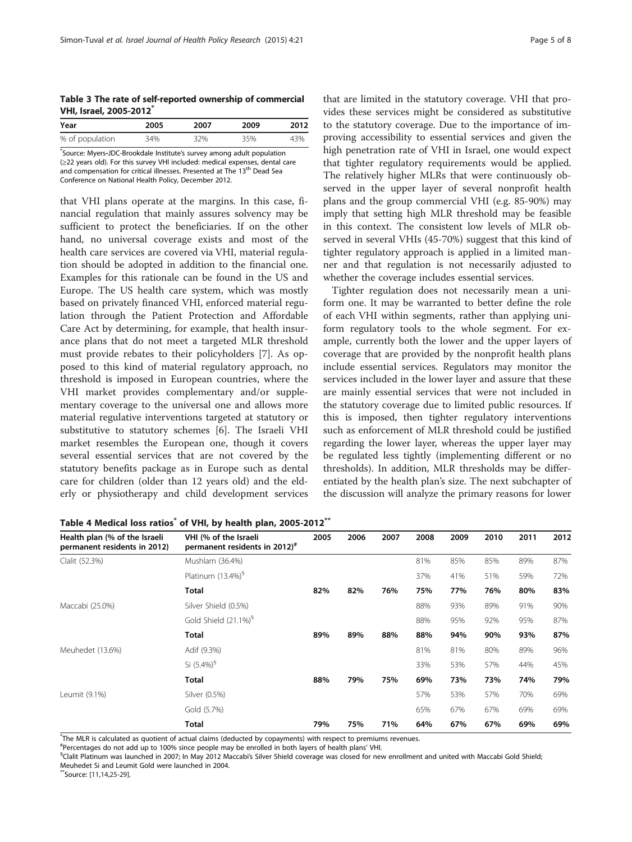<span id="page-4-0"></span>Table 3 The rate of self-reported ownership of commercial VHI, Israel, 2005-2012\*

| Year            | 2005 | 2007 | 2009 | 2012 |
|-----------------|------|------|------|------|
| % of population | 34%  | 32%  | 35%  | 43%  |

\* Source: Myers-JDC-Brookdale Institute's survey among adult population (≥22 years old). For this survey VHI included: medical expenses, dental care and compensation for critical illnesses. Presented at The 13<sup>th</sup> Dead Sea Conference on National Health Policy, December 2012.

that VHI plans operate at the margins. In this case, financial regulation that mainly assures solvency may be sufficient to protect the beneficiaries. If on the other hand, no universal coverage exists and most of the health care services are covered via VHI, material regulation should be adopted in addition to the financial one. Examples for this rationale can be found in the US and Europe. The US health care system, which was mostly based on privately financed VHI, enforced material regulation through the Patient Protection and Affordable Care Act by determining, for example, that health insurance plans that do not meet a targeted MLR threshold must provide rebates to their policyholders [\[7\]](#page-7-0). As opposed to this kind of material regulatory approach, no threshold is imposed in European countries, where the VHI market provides complementary and/or supplementary coverage to the universal one and allows more material regulative interventions targeted at statutory or substitutive to statutory schemes [\[6](#page-7-0)]. The Israeli VHI market resembles the European one, though it covers several essential services that are not covered by the statutory benefits package as in Europe such as dental care for children (older than 12 years old) and the elderly or physiotherapy and child development services

that are limited in the statutory coverage. VHI that provides these services might be considered as substitutive to the statutory coverage. Due to the importance of improving accessibility to essential services and given the high penetration rate of VHI in Israel, one would expect that tighter regulatory requirements would be applied. The relatively higher MLRs that were continuously observed in the upper layer of several nonprofit health plans and the group commercial VHI (e.g. 85-90%) may imply that setting high MLR threshold may be feasible in this context. The consistent low levels of MLR observed in several VHIs (45-70%) suggest that this kind of tighter regulatory approach is applied in a limited manner and that regulation is not necessarily adjusted to whether the coverage includes essential services.

Tighter regulation does not necessarily mean a uniform one. It may be warranted to better define the role of each VHI within segments, rather than applying uniform regulatory tools to the whole segment. For example, currently both the lower and the upper layers of coverage that are provided by the nonprofit health plans include essential services. Regulators may monitor the services included in the lower layer and assure that these are mainly essential services that were not included in the statutory coverage due to limited public resources. If this is imposed, then tighter regulatory interventions such as enforcement of MLR threshold could be justified regarding the lower layer, whereas the upper layer may be regulated less tightly (implementing different or no thresholds). In addition, MLR thresholds may be differentiated by the health plan's size. The next subchapter of the discussion will analyze the primary reasons for lower

| Health plan (% of the Israeli<br>permanent residents in 2012) | VHI (% of the Israeli<br>permanent residents in 2012) <sup>#</sup> | 2005 | 2006 | 2007 | 2008 | 2009 | 2010 | 2011 | 2012 |
|---------------------------------------------------------------|--------------------------------------------------------------------|------|------|------|------|------|------|------|------|
| Clalit (52.3%)                                                | Mushlam (36.4%)                                                    |      |      |      | 81%  | 85%  | 85%  | 89%  | 87%  |
|                                                               | Platinum $(13.4\%)$ <sup>§</sup>                                   |      |      |      | 37%  | 41%  | 51%  | 59%  | 72%  |
|                                                               | Total                                                              | 82%  | 82%  | 76%  | 75%  | 77%  | 76%  | 80%  | 83%  |
| Maccabi (25.0%)                                               | Silver Shield (0.5%)                                               |      |      |      | 88%  | 93%  | 89%  | 91%  | 90%  |
|                                                               | Gold Shield (21.1%) <sup>§</sup>                                   |      |      |      | 88%  | 95%  | 92%  | 95%  | 87%  |
|                                                               | Total                                                              | 89%  | 89%  | 88%  | 88%  | 94%  | 90%  | 93%  | 87%  |
| Meuhedet (13.6%)                                              | Adif (9.3%)                                                        |      |      |      | 81%  | 81%  | 80%  | 89%  | 96%  |
|                                                               | Si $(5.4\%)^9$                                                     |      |      |      | 33%  | 53%  | 57%  | 44%  | 45%  |
|                                                               | Total                                                              | 88%  | 79%  | 75%  | 69%  | 73%  | 73%  | 74%  | 79%  |
| Leumit (9.1%)                                                 | Silver (0.5%)                                                      |      |      |      | 57%  | 53%  | 57%  | 70%  | 69%  |
|                                                               | Gold (5.7%)                                                        |      |      |      | 65%  | 67%  | 67%  | 69%  | 69%  |
|                                                               | Total                                                              | 79%  | 75%  | 71%  | 64%  | 67%  | 67%  | 69%  | 69%  |

Table 4 Medical loss ratios<sup>\*</sup> of VHI, by health plan, 2005-2012<sup>\*\*</sup>

\* The MLR is calculated as quotient of actual claims (deducted by copayments) with respect to premiums revenues.

#Percentages do not add up to 100% since people may be enrolled in both layers of health plans' VHI.<br><sup>§</sup>Clalit Platinum was launched in 2007: In May 2012 Maccabi's Silver Shield coverage was closed for ne

<sup>§</sup>Clalit Platinum was launched in 2007; In May 2012 Maccabi's Silver Shield coverage was closed for new enrollment and united with Maccabi Gold Shield; Meuhedet Si and Leumit Gold were launched in 2004.

\*\*Source: [\[11](#page-7-0),[14,25-29\]](#page-7-0).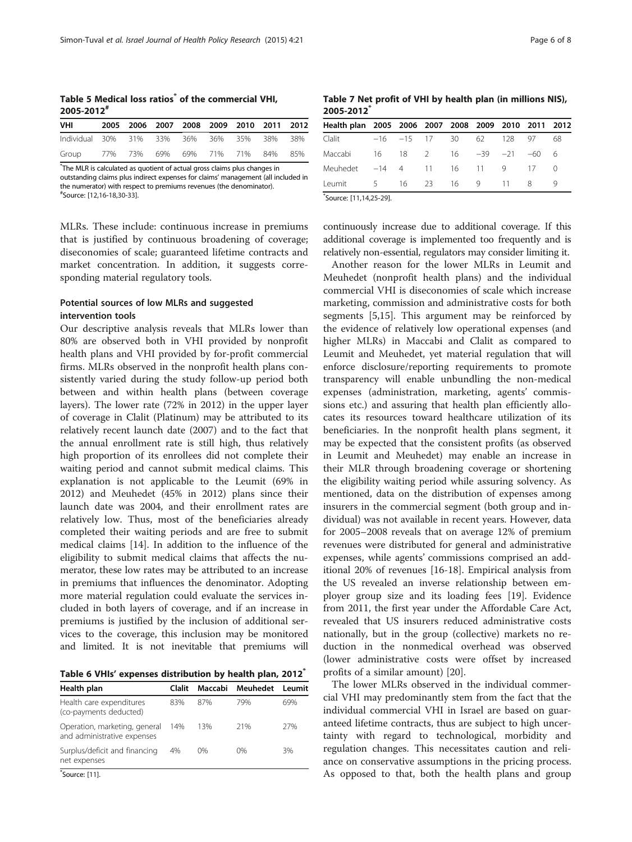<span id="page-5-0"></span>Table 5 Medical loss ratios<sup>\*</sup> of the commercial VHI, 2005-2012#

| VHI                                        | 2005 2006 2007 2008 2009 2010 2011 2012 |  |  |  |
|--------------------------------------------|-----------------------------------------|--|--|--|
| Individual 30% 31% 33% 36% 36% 35% 38% 38% |                                         |  |  |  |
| Group 77% 73% 69% 69% 71% 71% 84% 85%      |                                         |  |  |  |

\* The MLR is calculated as quotient of actual gross claims plus changes in outstanding claims plus indirect expenses for claims' management (all included in the numerator) with respect to premiums revenues (the denominator). # Source: [[12,16](#page-7-0)-[18,30-33](#page-7-0)].

MLRs. These include: continuous increase in premiums that is justified by continuous broadening of coverage; diseconomies of scale; guaranteed lifetime contracts and market concentration. In addition, it suggests corresponding material regulatory tools.

# Potential sources of low MLRs and suggested intervention tools

Our descriptive analysis reveals that MLRs lower than 80% are observed both in VHI provided by nonprofit health plans and VHI provided by for-profit commercial firms. MLRs observed in the nonprofit health plans consistently varied during the study follow-up period both between and within health plans (between coverage layers). The lower rate (72% in 2012) in the upper layer of coverage in Clalit (Platinum) may be attributed to its relatively recent launch date (2007) and to the fact that the annual enrollment rate is still high, thus relatively high proportion of its enrollees did not complete their waiting period and cannot submit medical claims. This explanation is not applicable to the Leumit (69% in 2012) and Meuhedet (45% in 2012) plans since their launch date was 2004, and their enrollment rates are relatively low. Thus, most of the beneficiaries already completed their waiting periods and are free to submit medical claims [[14](#page-7-0)]. In addition to the influence of the eligibility to submit medical claims that affects the numerator, these low rates may be attributed to an increase in premiums that influences the denominator. Adopting more material regulation could evaluate the services included in both layers of coverage, and if an increase in premiums is justified by the inclusion of additional services to the coverage, this inclusion may be monitored and limited. It is not inevitable that premiums will

Table 6 VHIs' expenses distribution by health plan, 2012<sup>\*</sup>

| Health plan                                                  | Clalit | Maccabi | Meuhedet | Leumit |
|--------------------------------------------------------------|--------|---------|----------|--------|
| Health care expenditures<br>(co-payments deducted)           | 83%    | 87%     | 79%      | 69%    |
| Operation, marketing, general<br>and administrative expenses | 14%    | 13%     | 21%      | 27%    |
| Surplus/deficit and financing<br>net expenses                | 4%     | $0\%$   | $0\%$    | 3%     |
| $*$ Source: [11]                                             |        |         |          |        |

Source: [\[11](#page-7-0)].

Table 7 Net profit of VHI by health plan (in millions NIS), 2005-2012\*

| Health plan 2005 2006 2007 2008 2009 2010 2011 2012                                                                                                                                                                               |  |  |                                        |  |  |
|-----------------------------------------------------------------------------------------------------------------------------------------------------------------------------------------------------------------------------------|--|--|----------------------------------------|--|--|
| Clalit -16 -15 17 30 62 128 97 68                                                                                                                                                                                                 |  |  |                                        |  |  |
| Maccabi                                                                                                                                                                                                                           |  |  | $16$ $18$ $2$ $16$ $-39$ $-21$ $-60$ 6 |  |  |
| Meuhedet –14 4 11 16 11 9 17 0                                                                                                                                                                                                    |  |  |                                        |  |  |
| Leumit 5 16 23 16 9 11 8 9                                                                                                                                                                                                        |  |  |                                        |  |  |
| $\frac{1}{2}$ . The contract of the contract of the contract of the contract of the contract of the contract of the contract of the contract of the contract of the contract of the contract of the contract of the contract of t |  |  |                                        |  |  |

\* Source: [\[11](#page-7-0),[14,25](#page-7-0)-[29\]](#page-7-0).

continuously increase due to additional coverage. If this additional coverage is implemented too frequently and is relatively non-essential, regulators may consider limiting it.

Another reason for the lower MLRs in Leumit and Meuhedet (nonprofit health plans) and the individual commercial VHI is diseconomies of scale which increase marketing, commission and administrative costs for both segments [[5,15\]](#page-7-0). This argument may be reinforced by the evidence of relatively low operational expenses (and higher MLRs) in Maccabi and Clalit as compared to Leumit and Meuhedet, yet material regulation that will enforce disclosure/reporting requirements to promote transparency will enable unbundling the non-medical expenses (administration, marketing, agents' commissions etc.) and assuring that health plan efficiently allocates its resources toward healthcare utilization of its beneficiaries. In the nonprofit health plans segment, it may be expected that the consistent profits (as observed in Leumit and Meuhedet) may enable an increase in their MLR through broadening coverage or shortening the eligibility waiting period while assuring solvency. As mentioned, data on the distribution of expenses among insurers in the commercial segment (both group and individual) was not available in recent years. However, data for 2005–2008 reveals that on average 12% of premium revenues were distributed for general and administrative expenses, while agents' commissions comprised an additional 20% of revenues [[16-18](#page-7-0)]. Empirical analysis from the US revealed an inverse relationship between employer group size and its loading fees [[19](#page-7-0)]. Evidence from 2011, the first year under the Affordable Care Act, revealed that US insurers reduced administrative costs nationally, but in the group (collective) markets no reduction in the nonmedical overhead was observed (lower administrative costs were offset by increased profits of a similar amount) [\[20\]](#page-7-0).

The lower MLRs observed in the individual commercial VHI may predominantly stem from the fact that the individual commercial VHI in Israel are based on guaranteed lifetime contracts, thus are subject to high uncertainty with regard to technological, morbidity and regulation changes. This necessitates caution and reliance on conservative assumptions in the pricing process. As opposed to that, both the health plans and group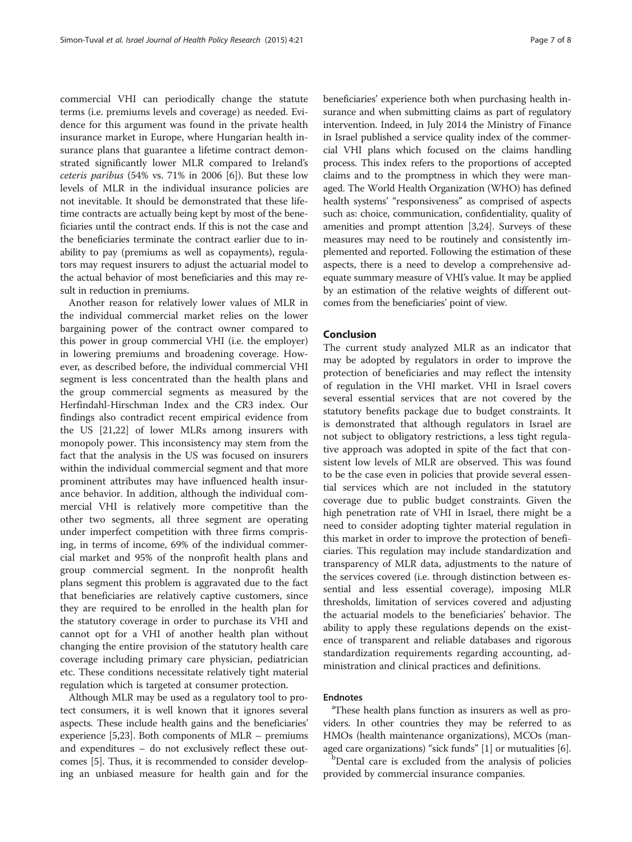commercial VHI can periodically change the statute terms (i.e. premiums levels and coverage) as needed. Evidence for this argument was found in the private health insurance market in Europe, where Hungarian health insurance plans that guarantee a lifetime contract demonstrated significantly lower MLR compared to Ireland's ceteris paribus (54% vs. 71% in 2006 [\[6](#page-7-0)]). But these low levels of MLR in the individual insurance policies are not inevitable. It should be demonstrated that these lifetime contracts are actually being kept by most of the beneficiaries until the contract ends. If this is not the case and the beneficiaries terminate the contract earlier due to inability to pay (premiums as well as copayments), regulators may request insurers to adjust the actuarial model to the actual behavior of most beneficiaries and this may result in reduction in premiums.

Another reason for relatively lower values of MLR in the individual commercial market relies on the lower bargaining power of the contract owner compared to this power in group commercial VHI (i.e. the employer) in lowering premiums and broadening coverage. However, as described before, the individual commercial VHI segment is less concentrated than the health plans and the group commercial segments as measured by the Herfindahl-Hirschman Index and the CR3 index. Our findings also contradict recent empirical evidence from the US [[21,22](#page-7-0)] of lower MLRs among insurers with monopoly power. This inconsistency may stem from the fact that the analysis in the US was focused on insurers within the individual commercial segment and that more prominent attributes may have influenced health insurance behavior. In addition, although the individual commercial VHI is relatively more competitive than the other two segments, all three segment are operating under imperfect competition with three firms comprising, in terms of income, 69% of the individual commercial market and 95% of the nonprofit health plans and group commercial segment. In the nonprofit health plans segment this problem is aggravated due to the fact that beneficiaries are relatively captive customers, since they are required to be enrolled in the health plan for the statutory coverage in order to purchase its VHI and cannot opt for a VHI of another health plan without changing the entire provision of the statutory health care coverage including primary care physician, pediatrician etc. These conditions necessitate relatively tight material regulation which is targeted at consumer protection.

Although MLR may be used as a regulatory tool to protect consumers, it is well known that it ignores several aspects. These include health gains and the beneficiaries' experience [[5,23](#page-7-0)]. Both components of MLR – premiums and expenditures – do not exclusively reflect these outcomes [[5](#page-7-0)]. Thus, it is recommended to consider developing an unbiased measure for health gain and for the

beneficiaries' experience both when purchasing health insurance and when submitting claims as part of regulatory intervention. Indeed, in July 2014 the Ministry of Finance in Israel published a service quality index of the commercial VHI plans which focused on the claims handling process. This index refers to the proportions of accepted claims and to the promptness in which they were managed. The World Health Organization (WHO) has defined health systems' "responsiveness" as comprised of aspects such as: choice, communication, confidentiality, quality of amenities and prompt attention [\[3,24\]](#page-7-0). Surveys of these measures may need to be routinely and consistently implemented and reported. Following the estimation of these aspects, there is a need to develop a comprehensive adequate summary measure of VHI's value. It may be applied by an estimation of the relative weights of different outcomes from the beneficiaries' point of view.

## Conclusion

The current study analyzed MLR as an indicator that may be adopted by regulators in order to improve the protection of beneficiaries and may reflect the intensity of regulation in the VHI market. VHI in Israel covers several essential services that are not covered by the statutory benefits package due to budget constraints. It is demonstrated that although regulators in Israel are not subject to obligatory restrictions, a less tight regulative approach was adopted in spite of the fact that consistent low levels of MLR are observed. This was found to be the case even in policies that provide several essential services which are not included in the statutory coverage due to public budget constraints. Given the high penetration rate of VHI in Israel, there might be a need to consider adopting tighter material regulation in this market in order to improve the protection of beneficiaries. This regulation may include standardization and transparency of MLR data, adjustments to the nature of the services covered (i.e. through distinction between essential and less essential coverage), imposing MLR thresholds, limitation of services covered and adjusting the actuarial models to the beneficiaries' behavior. The ability to apply these regulations depends on the existence of transparent and reliable databases and rigorous standardization requirements regarding accounting, administration and clinical practices and definitions.

#### Endnotes

<sup>a</sup>These health plans function as insurers as well as providers. In other countries they may be referred to as HMOs (health maintenance organizations), MCOs (managed care organizations) "sick funds" [[1](#page-7-0)] or mutualities [\[6](#page-7-0)].

<sup>b</sup>Dental care is excluded from the analysis of policies provided by commercial insurance companies.